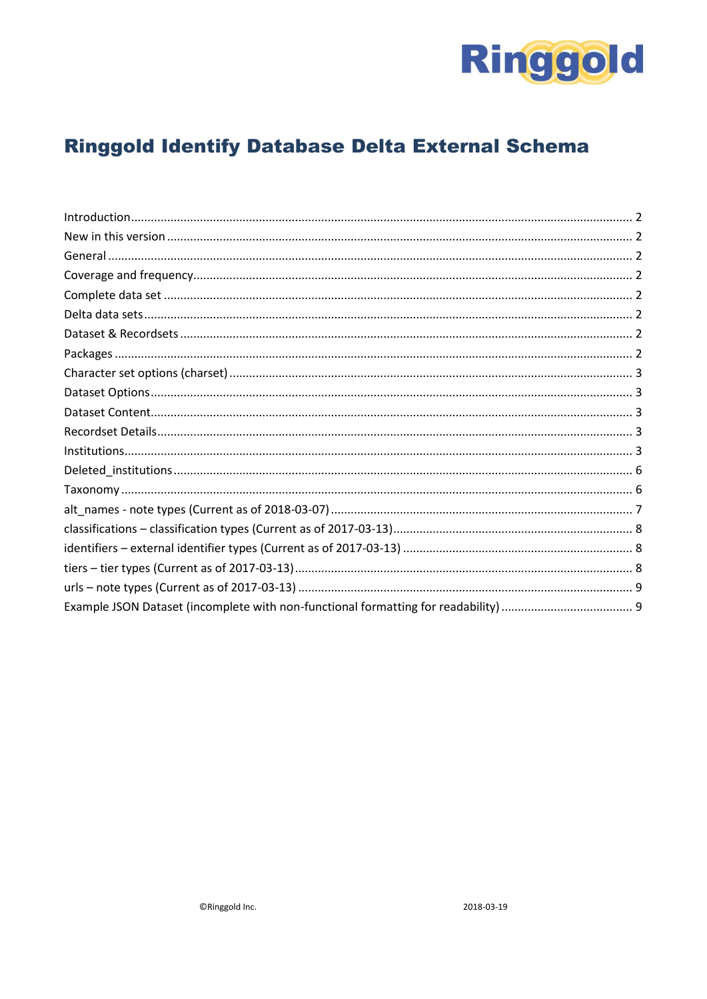

# **Ringgold Identify Database Delta External Schema**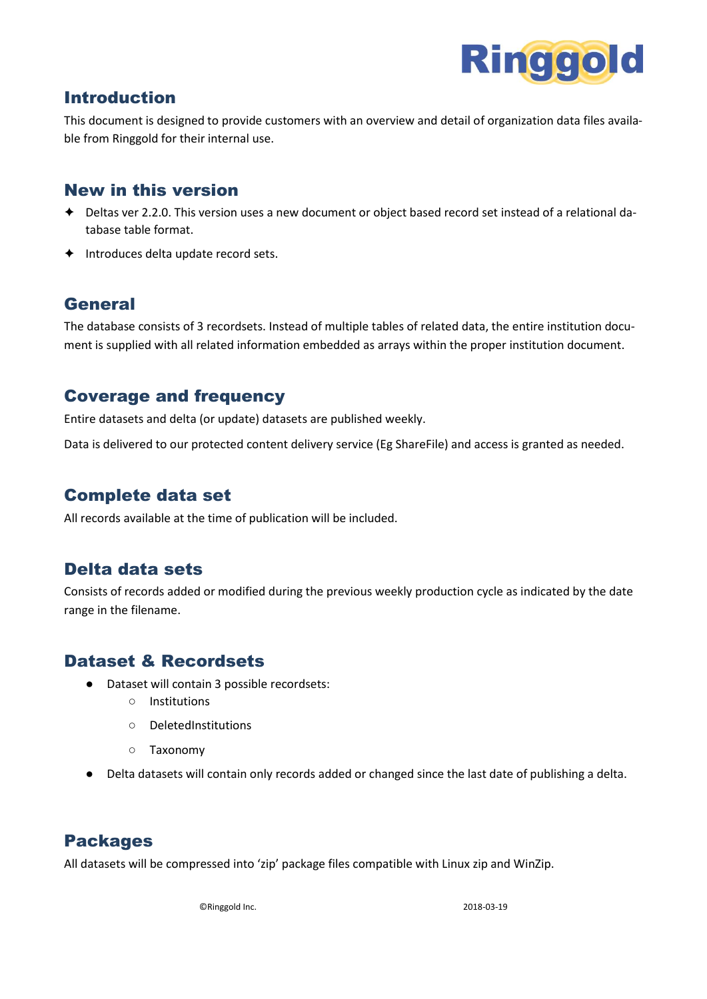

### <span id="page-1-0"></span>Introduction

This document is designed to provide customers with an overview and detail of organization data files available from Ringgold for their internal use.

#### <span id="page-1-1"></span>New in this version

- ✦ Deltas ver 2.2.0. This version uses a new document or object based record set instead of a relational database table format.
- <span id="page-1-2"></span>✦ Introduces delta update record sets.

#### General

The database consists of 3 recordsets. Instead of multiple tables of related data, the entire institution document is supplied with all related information embedded as arrays within the proper institution document.

#### <span id="page-1-3"></span>Coverage and frequency

Entire datasets and delta (or update) datasets are published weekly.

Data is delivered to our protected content delivery service (Eg ShareFile) and access is granted as needed.

### <span id="page-1-4"></span>Complete data set

All records available at the time of publication will be included.

### <span id="page-1-5"></span>Delta data sets

Consists of records added or modified during the previous weekly production cycle as indicated by the date range in the filename.

### <span id="page-1-6"></span>Dataset & Recordsets

- Dataset will contain 3 possible recordsets:
	- Institutions
	- DeletedInstitutions
	- Taxonomy
- Delta datasets will contain only records added or changed since the last date of publishing a delta.

### <span id="page-1-7"></span>Packages

All datasets will be compressed into 'zip' package files compatible with Linux zip and WinZip.

©Ringgold Inc. 2018-03-19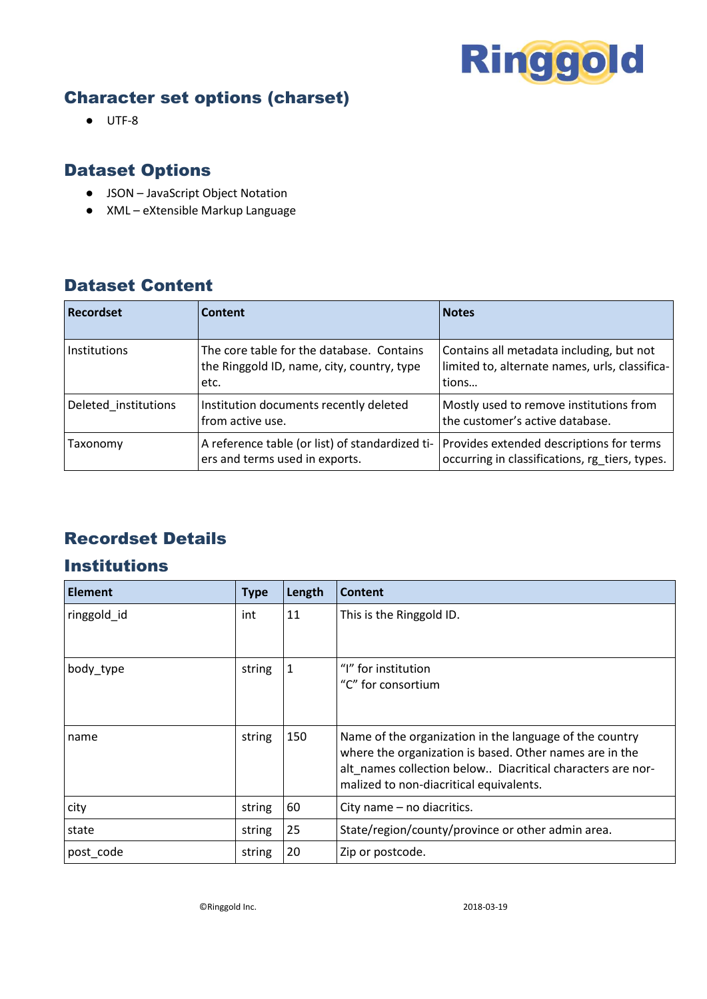

## <span id="page-2-0"></span>Character set options (charset)

● UTF-8

## <span id="page-2-1"></span>Dataset Options

- JSON JavaScript Object Notation
- XML eXtensible Markup Language

## <span id="page-2-2"></span>Dataset Content

| <b>Recordset</b>     | Content                                                                                         | <b>Notes</b>                                                                                        |
|----------------------|-------------------------------------------------------------------------------------------------|-----------------------------------------------------------------------------------------------------|
| <b>Institutions</b>  | The core table for the database. Contains<br>the Ringgold ID, name, city, country, type<br>etc. | Contains all metadata including, but not<br>limited to, alternate names, urls, classifica-<br>tions |
| Deleted institutions | Institution documents recently deleted<br>from active use.                                      | Mostly used to remove institutions from<br>the customer's active database.                          |
| Taxonomy             | A reference table (or list) of standardized ti-<br>ers and terms used in exports.               | Provides extended descriptions for terms<br>occurring in classifications, rg_tiers, types.          |

## <span id="page-2-3"></span>Recordset Details

### <span id="page-2-4"></span>**Institutions**

| <b>Element</b> | <b>Type</b> | Length | Content                                                                                                                                                                                                                     |
|----------------|-------------|--------|-----------------------------------------------------------------------------------------------------------------------------------------------------------------------------------------------------------------------------|
| ringgold_id    | int         | 11     | This is the Ringgold ID.                                                                                                                                                                                                    |
|                |             |        |                                                                                                                                                                                                                             |
| body_type      | string      | 1      | "I" for institution                                                                                                                                                                                                         |
|                |             |        | "C" for consortium                                                                                                                                                                                                          |
|                |             |        |                                                                                                                                                                                                                             |
| name           | string      | 150    | Name of the organization in the language of the country<br>where the organization is based. Other names are in the<br>alt_names collection below Diacritical characters are nor-<br>malized to non-diacritical equivalents. |
| city           | string      | 60     | City name - no diacritics.                                                                                                                                                                                                  |
| state          | string      | 25     | State/region/county/province or other admin area.                                                                                                                                                                           |
| post code      | string      | 20     | Zip or postcode.                                                                                                                                                                                                            |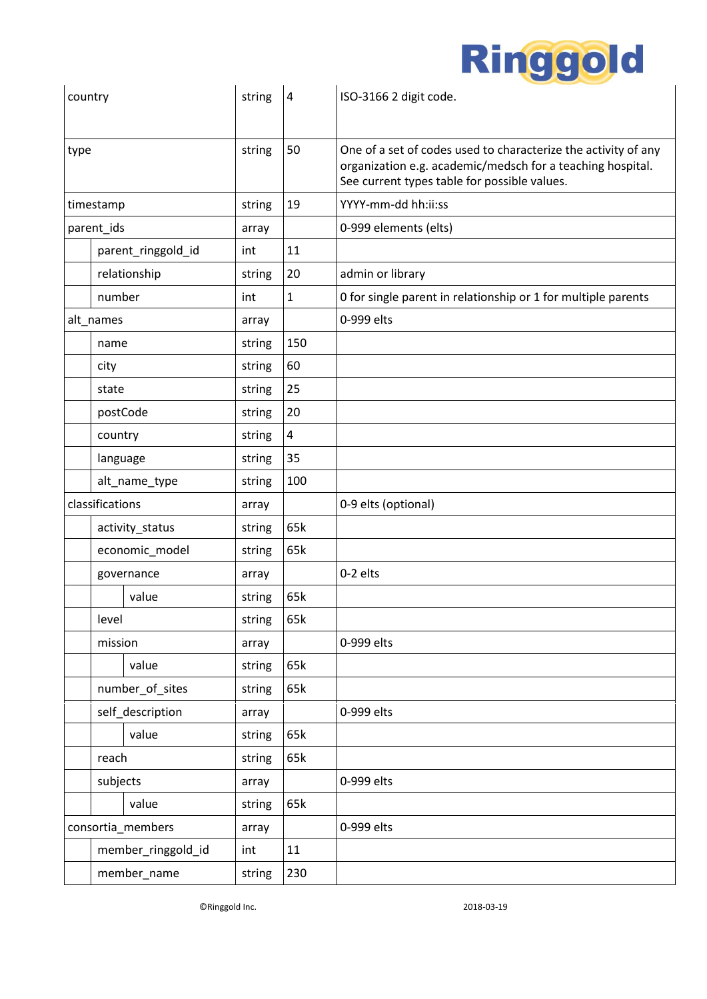

| country |                 |                    | string | 4            | ISO-3166 2 digit code.                                                                                                                                                       |
|---------|-----------------|--------------------|--------|--------------|------------------------------------------------------------------------------------------------------------------------------------------------------------------------------|
| type    |                 |                    | string | 50           | One of a set of codes used to characterize the activity of any<br>organization e.g. academic/medsch for a teaching hospital.<br>See current types table for possible values. |
|         | timestamp       |                    | string | 19           | YYYY-mm-dd hh:ii:ss                                                                                                                                                          |
|         | parent_ids      |                    | array  |              | 0-999 elements (elts)                                                                                                                                                        |
|         |                 | parent_ringgold_id | int    | 11           |                                                                                                                                                                              |
|         |                 | relationship       | string | 20           | admin or library                                                                                                                                                             |
|         | number          |                    | int    | $\mathbf{1}$ | 0 for single parent in relationship or 1 for multiple parents                                                                                                                |
|         | alt_names       |                    | array  |              | 0-999 elts                                                                                                                                                                   |
|         | name            |                    | string | 150          |                                                                                                                                                                              |
|         | city            |                    | string | 60           |                                                                                                                                                                              |
|         | state           |                    | string | 25           |                                                                                                                                                                              |
|         |                 | postCode           | string | 20           |                                                                                                                                                                              |
|         | country         |                    | string | 4            |                                                                                                                                                                              |
|         | language        |                    | string | 35           |                                                                                                                                                                              |
|         |                 | alt_name_type      | string | 100          |                                                                                                                                                                              |
|         | classifications |                    | array  |              | 0-9 elts (optional)                                                                                                                                                          |
|         |                 | activity_status    | string | 65k          |                                                                                                                                                                              |
|         |                 | economic_model     | string | 65k          |                                                                                                                                                                              |
|         |                 | governance         | array  |              | 0-2 elts                                                                                                                                                                     |
|         |                 | value              | string | 65k          |                                                                                                                                                                              |
|         | level           |                    | string | 65k          |                                                                                                                                                                              |
|         | mission         |                    | array  |              | 0-999 elts                                                                                                                                                                   |
|         |                 | value              | string | 65k          |                                                                                                                                                                              |
|         |                 | number_of_sites    | string | 65k          |                                                                                                                                                                              |
|         |                 | self_description   | array  |              | 0-999 elts                                                                                                                                                                   |
|         |                 | value              | string | 65k          |                                                                                                                                                                              |
|         | reach           |                    | string | 65k          |                                                                                                                                                                              |
|         | subjects        |                    | array  |              | 0-999 elts                                                                                                                                                                   |
|         |                 | value              | string | 65k          |                                                                                                                                                                              |
|         |                 | consortia_members  | array  |              | 0-999 elts                                                                                                                                                                   |
|         |                 | member_ringgold_id | int    | 11           |                                                                                                                                                                              |
|         |                 | member_name        | string | 230          |                                                                                                                                                                              |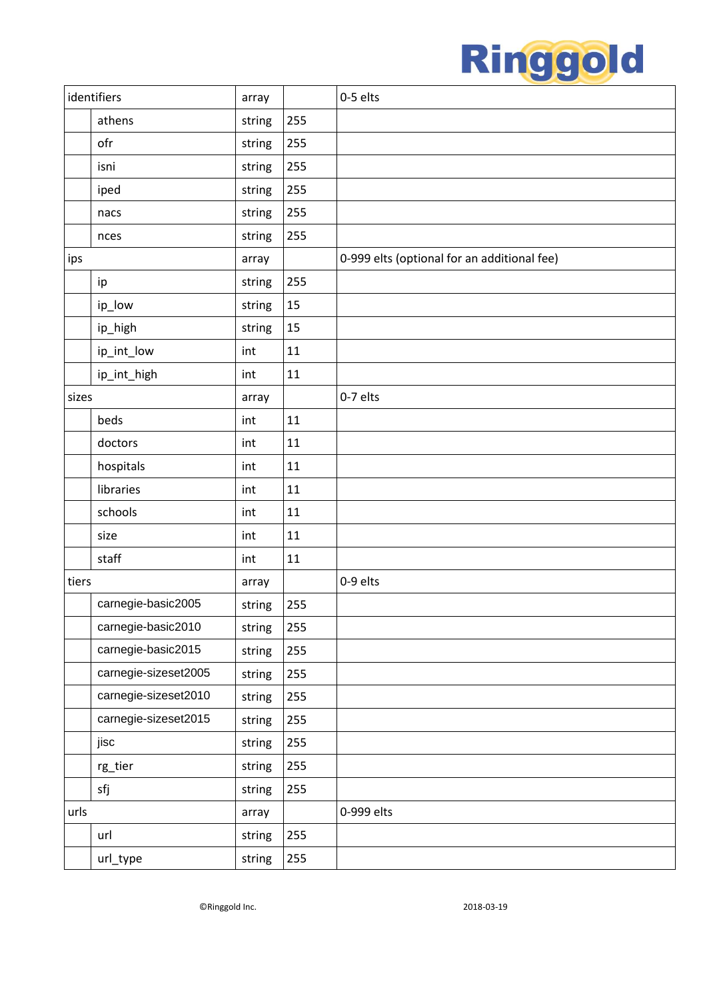

|       | identifiers          | array  |     | 0-5 elts                                    |
|-------|----------------------|--------|-----|---------------------------------------------|
|       | athens               | string | 255 |                                             |
|       | ofr                  | string | 255 |                                             |
|       | isni                 | string | 255 |                                             |
|       | iped                 | string | 255 |                                             |
|       | nacs                 | string | 255 |                                             |
|       | nces                 | string | 255 |                                             |
| ips   |                      | array  |     | 0-999 elts (optional for an additional fee) |
|       | ip                   | string | 255 |                                             |
|       | ip_low               | string | 15  |                                             |
|       | ip_high              | string | 15  |                                             |
|       | ip_int_low           | int    | 11  |                                             |
|       | ip_int_high          | int    | 11  |                                             |
| sizes |                      | array  |     | 0-7 elts                                    |
|       | beds                 | int    | 11  |                                             |
|       | doctors              | int    | 11  |                                             |
|       | hospitals            | int    | 11  |                                             |
|       | libraries            | int    | 11  |                                             |
|       | schools              | int    | 11  |                                             |
|       | size                 | int    | 11  |                                             |
|       | staff                | int    | 11  |                                             |
| tiers |                      | array  |     | 0-9 elts                                    |
|       | carnegie-basic2005   | string | 255 |                                             |
|       | carnegie-basic2010   | string | 255 |                                             |
|       | carnegie-basic2015   | string | 255 |                                             |
|       | carnegie-sizeset2005 | string | 255 |                                             |
|       | carnegie-sizeset2010 | string | 255 |                                             |
|       | carnegie-sizeset2015 | string | 255 |                                             |
|       | jisc                 | string | 255 |                                             |
|       | rg_tier              | string | 255 |                                             |
|       | sfj                  | string | 255 |                                             |
| urls  |                      | array  |     | 0-999 elts                                  |
|       | url                  | string | 255 |                                             |
|       | url_type             | string | 255 |                                             |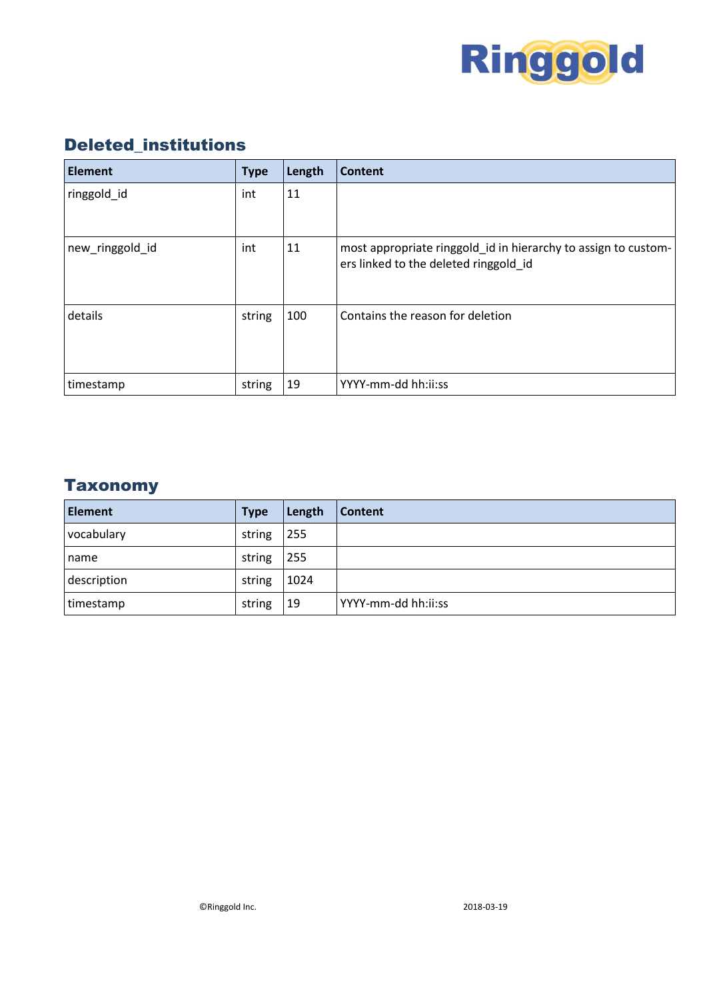

## <span id="page-5-0"></span>Deleted\_institutions

| <b>Element</b>  | <b>Type</b> | Length | Content                                                                                                 |
|-----------------|-------------|--------|---------------------------------------------------------------------------------------------------------|
| ringgold_id     | int         | 11     |                                                                                                         |
| new_ringgold_id | int         | 11     | most appropriate ringgold_id in hierarchy to assign to custom-<br>ers linked to the deleted ringgold_id |
| details         | string      | 100    | Contains the reason for deletion                                                                        |
| timestamp       | string      | 19     | YYYY-mm-dd hh:ii:ss                                                                                     |

## <span id="page-5-1"></span>**Taxonomy**

| <b>Element</b> | <b>Type</b> | Length | Content             |
|----------------|-------------|--------|---------------------|
| vocabulary     | string      | 255    |                     |
| name           | string      | 255    |                     |
| description    | string      | 1024   |                     |
| timestamp      | string      | 19     | YYYY-mm-dd hh:ii:ss |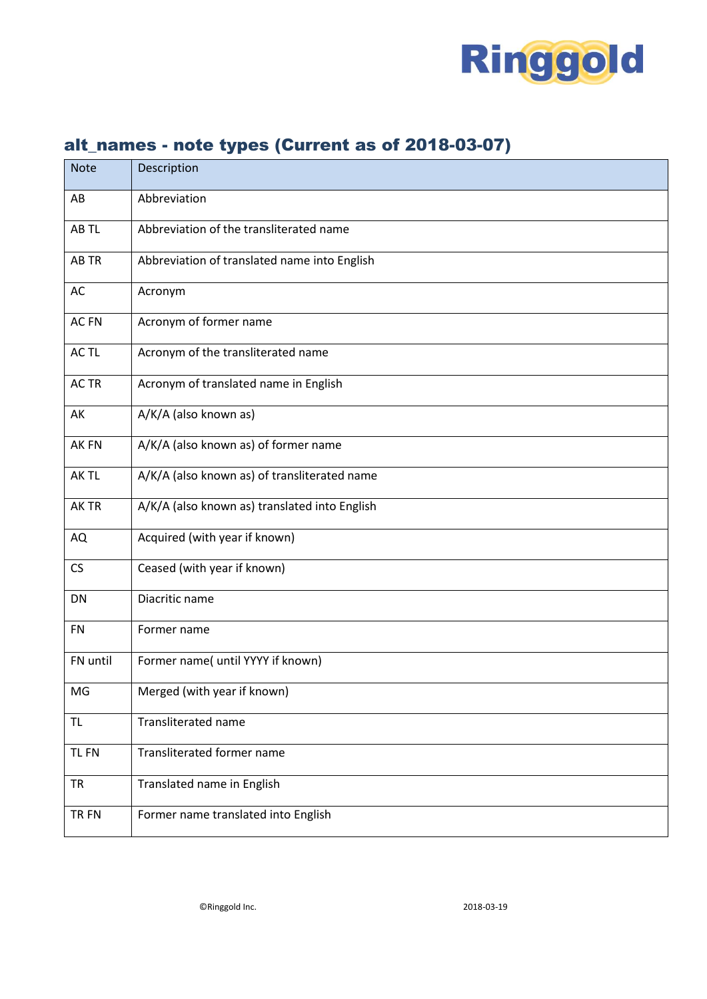

<span id="page-6-0"></span>

| <b>Note</b> | Description                                   |
|-------------|-----------------------------------------------|
| AB          | Abbreviation                                  |
| AB TL       | Abbreviation of the transliterated name       |
| AB TR       | Abbreviation of translated name into English  |
| AC          | Acronym                                       |
| AC FN       | Acronym of former name                        |
| AC TL       | Acronym of the transliterated name            |
| AC TR       | Acronym of translated name in English         |
| AK          | A/K/A (also known as)                         |
| AK FN       | A/K/A (also known as) of former name          |
| AK TL       | A/K/A (also known as) of transliterated name  |
| AK TR       | A/K/A (also known as) translated into English |
| AQ          | Acquired (with year if known)                 |
| CS          | Ceased (with year if known)                   |
| DN          | Diacritic name                                |
| <b>FN</b>   | Former name                                   |
| FN until    | Former name( until YYYY if known)             |
| MG          | Merged (with year if known)                   |
| TL          | <b>Transliterated name</b>                    |
| <b>TLFN</b> | Transliterated former name                    |
| <b>TR</b>   | Translated name in English                    |
| TR FN       | Former name translated into English           |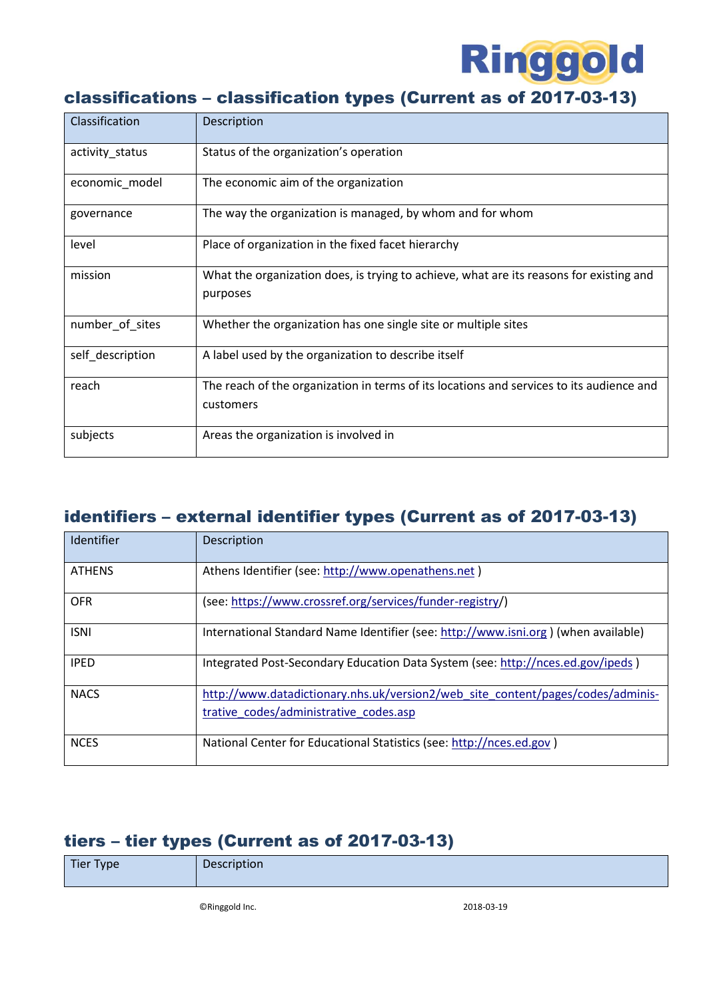

## <span id="page-7-0"></span>classifications – classification types (Current as of 2017-03-13)

| Classification   | Description                                                                                           |
|------------------|-------------------------------------------------------------------------------------------------------|
| activity_status  | Status of the organization's operation                                                                |
| economic_model   | The economic aim of the organization                                                                  |
| governance       | The way the organization is managed, by whom and for whom                                             |
| level            | Place of organization in the fixed facet hierarchy                                                    |
| mission          | What the organization does, is trying to achieve, what are its reasons for existing and<br>purposes   |
| number of sites  | Whether the organization has one single site or multiple sites                                        |
| self_description | A label used by the organization to describe itself                                                   |
| reach            | The reach of the organization in terms of its locations and services to its audience and<br>customers |
| subjects         | Areas the organization is involved in                                                                 |

## <span id="page-7-1"></span>identifiers – external identifier types (Current as of 2017-03-13)

| Identifier    | Description                                                                        |
|---------------|------------------------------------------------------------------------------------|
| <b>ATHENS</b> | Athens Identifier (see: http://www.openathens.net)                                 |
| <b>OFR</b>    | (see: https://www.crossref.org/services/funder-registry/)                          |
| <b>ISNI</b>   | International Standard Name Identifier (see: http://www.isni.org) (when available) |
| <b>IPED</b>   | Integrated Post-Secondary Education Data System (see: http://nces.ed.gov/ipeds)    |
| <b>NACS</b>   | http://www.datadictionary.nhs.uk/version2/web site content/pages/codes/adminis-    |
|               | trative codes/administrative codes.asp                                             |
| <b>NCES</b>   | National Center for Educational Statistics (see: http://nces.ed.gov)               |

## <span id="page-7-2"></span>tiers – tier types (Current as of 2017-03-13)

| Tier Type | Description |
|-----------|-------------|
|           |             |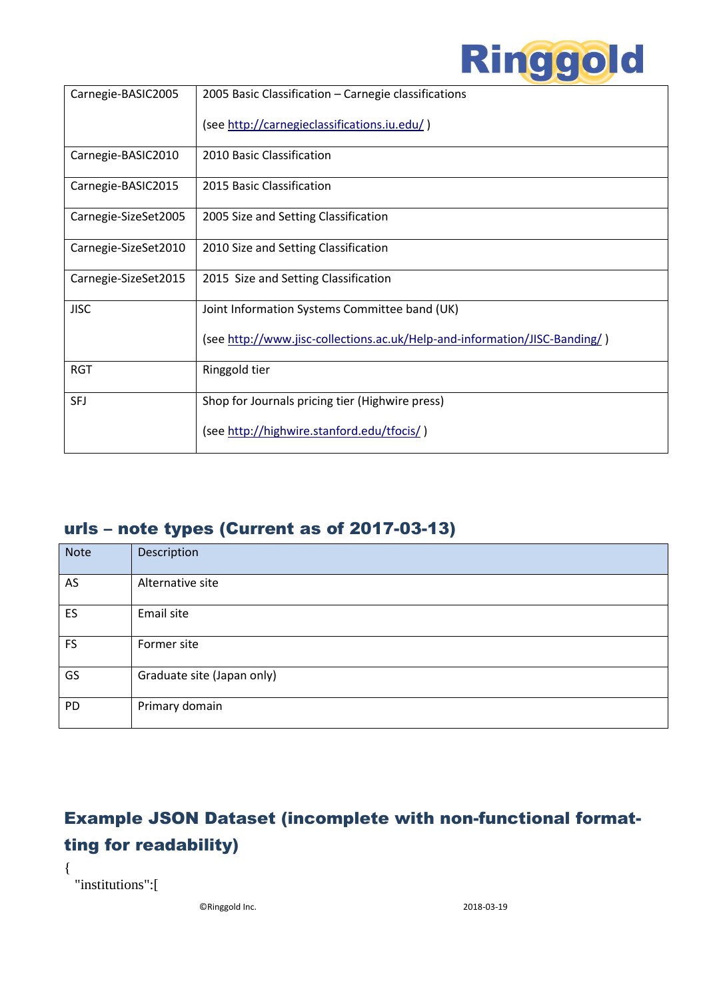

| Carnegie-BASIC2005   | 2005 Basic Classification - Carnegie classifications                       |
|----------------------|----------------------------------------------------------------------------|
|                      |                                                                            |
|                      | (see http://carnegieclassifications.iu.edu/)                               |
|                      |                                                                            |
| Carnegie-BASIC2010   | 2010 Basic Classification                                                  |
|                      |                                                                            |
| Carnegie-BASIC2015   | 2015 Basic Classification                                                  |
|                      |                                                                            |
| Carnegie-SizeSet2005 | 2005 Size and Setting Classification                                       |
|                      |                                                                            |
| Carnegie-SizeSet2010 | 2010 Size and Setting Classification                                       |
|                      |                                                                            |
| Carnegie-SizeSet2015 | 2015 Size and Setting Classification                                       |
|                      |                                                                            |
| <b>JISC</b>          | Joint Information Systems Committee band (UK)                              |
|                      |                                                                            |
|                      | (see http://www.jisc-collections.ac.uk/Help-and-information/JISC-Banding/) |
|                      |                                                                            |
| <b>RGT</b>           | Ringgold tier                                                              |
|                      |                                                                            |
| <b>SFJ</b>           | Shop for Journals pricing tier (Highwire press)                            |
|                      |                                                                            |
|                      | (see http://highwire.stanford.edu/tfocis/)                                 |
|                      |                                                                            |

## <span id="page-8-0"></span>urls – note types (Current as of 2017-03-13)

| Note      | Description                |
|-----------|----------------------------|
| AS        | Alternative site           |
| ES        | Email site                 |
| <b>FS</b> | Former site                |
| GS        | Graduate site (Japan only) |
| PD        | Primary domain             |

# <span id="page-8-1"></span>Example JSON Dataset (incomplete with non-functional formatting for readability)

"institutions":[

{

©Ringgold Inc. 2018-03-19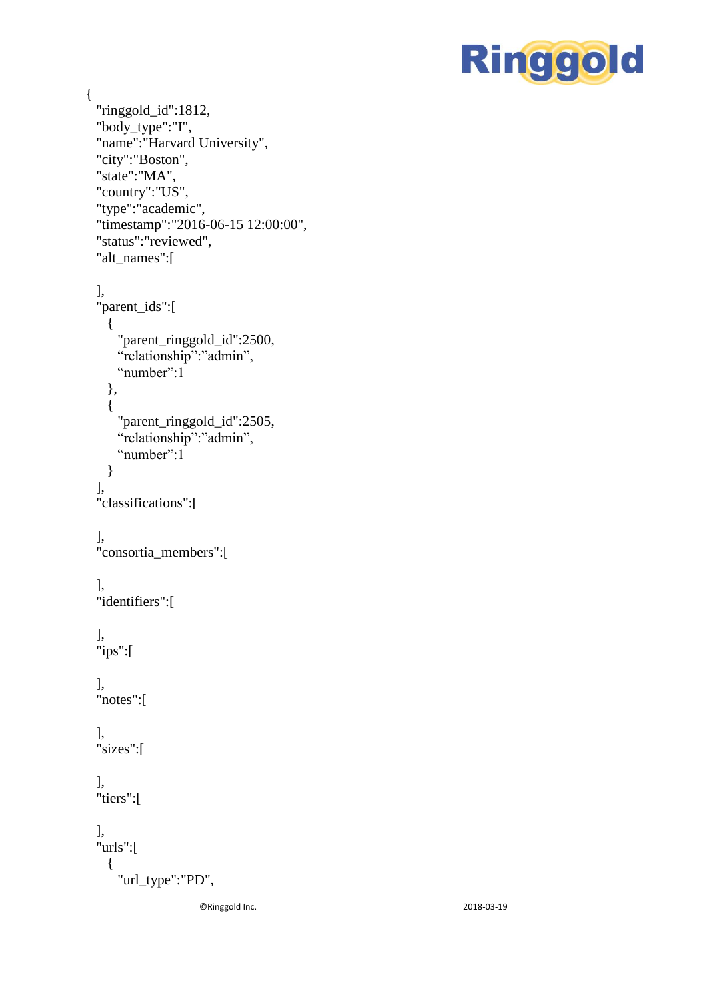

```
"ringgold_id":1812,
"body_type":"I", "name":"Harvard University",
"city":"Boston",
"state":"MA",
"country":"US",
"type":"academic",
"timestamp":"2016
-06
-15 12:00:00",
"status":"reviewed",
"alt_names":[ 
],
"parent_ids":[ 
  { 
    "parent_ringgold_id":2500
,
   "relationship":"admin",
    "number":1
  },
  { 
    "parent_ringgold_id":2505
,
    "relationship":"admin",
   "number":1
  }
],
"classifications":[ 
],
"consortia_members":[ 
],
"identifiers":[ 
],
"ips":[ 
],
"notes":[ 
],
"sizes":[ 
],
"tiers":[ 
],
"urls":[ 
  { 
    "url_type":"PD",
```
{

©Ringgold Inc.